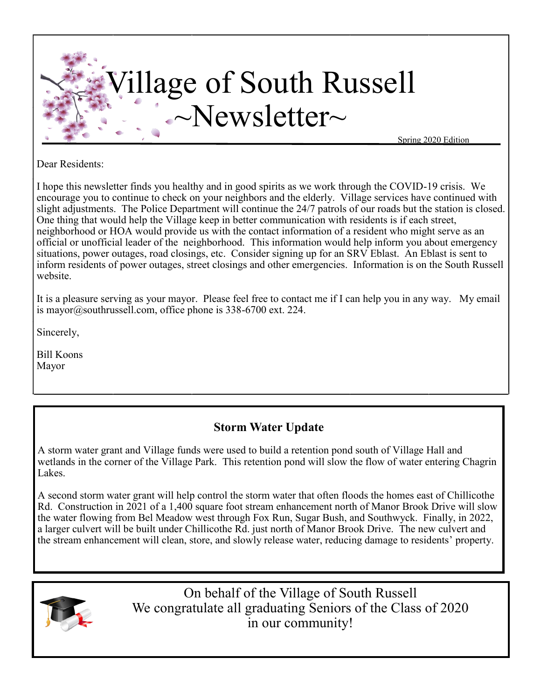

Dear Residents:

I hope this newsletter finds you healthy and in good spirits as we work through the COVID-19 crisis. We encourage you to continue to check on your neighbors and the elderly. Village services have continued with slight adjustments. The Police Department will continue the 24/7 patrols of our roads but the station is closed. One thing that would help the Village keep in better communication with residents is if each street, neighborhood or HOA would provide us with the contact information of a resident who might serve as an official or unofficial leader of the neighborhood. This information would help inform you about emergency situations, power outages, road closings, etc. Consider signing up for an SRV Eblast. An Eblast is sent to inform residents of power outages, street closings and other emergencies. Information is on the South Russell website.

It is a pleasure serving as your mayor. Please feel free to contact me if I can help you in any way. My email is [mayor@southrussell.com,](mailto:mayor@southrussell.com) office phone is 338-6700 ext. 224.

Sincerely,

Bill Koons Mayor

# **Storm Water Update**

A storm water grant and Village funds were used to build a retention pond south of Village Hall and wetlands in the corner of the Village Park. This retention pond will slow the flow of water entering Chagrin Lakes.

A second storm water grant will help control the storm water that often floods the homes east of Chillicothe Rd. Construction in 2021 of a 1,400 square foot stream enhancement north of Manor Brook Drive will slow the water flowing from Bel Meadow west through Fox Run, Sugar Bush, and Southwyck. Finally, in 2022, a larger culvert will be built under Chillicothe Rd. just north of Manor Brook Drive. The new culvert and the stream enhancement will clean, store, and slowly release water, reducing damage to residents' property.



On behalf of the Village of South Russell We congratulate all graduating Seniors of the Class of 2020 in our community!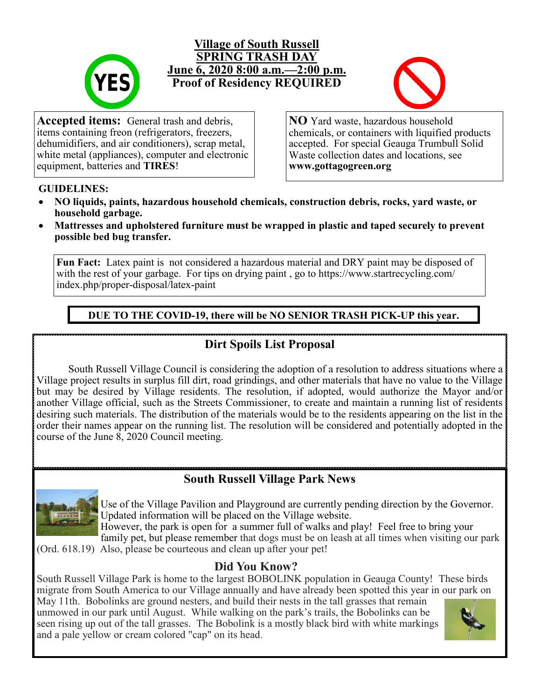

### **Village of South Russell SPRING TRASH DAY June 6, 2020 8:00 a.m.—2:00 p.m. Proof of Residency REQUIRED**



**Accepted items:** General trash and debris, items containing freon (refrigerators, freezers, dehumidifiers, and air conditioners), scrap metal, white metal (appliances), computer and electronic equipment, batteries and **TIRES**!

**NO** Yard waste, hazardous household chemicals, or containers with liquified products accepted. For special Geauga Trumbull Solid Waste collection dates and locations, see **www.gottagogreen.org**

#### **GUIDELINES:**

- **NO liquids, paints, hazardous household chemicals, construction debris, rocks, yard waste, or household garbage.**
- **Mattresses and upholstered furniture must be wrapped in plastic and taped securely to prevent possible bed bug transfer.**

**Fun Fact:** Latex paint is not considered a hazardous material and DRY paint may be disposed of with the rest of your garbage. For tips on drying paint, go to https://www.startrecycling.com/ index.php/proper-disposal/latex-paint

**DUE TO THE COVID-19, there will be NO SENIOR TRASH PICK-UP this year.**

## **Dirt Spoils List Proposal**

South Russell Village Council is considering the adoption of a resolution to address situations where a Village project results in surplus fill dirt, road grindings, and other materials that have no value to the Village but may be desired by Village residents. The resolution, if adopted, would authorize the Mayor and/or another Village official, such as the Streets Commissioner, to create and maintain a running list of residents desiring such materials. The distribution of the materials would be to the residents appearing on the list in the order their names appear on the running list. The resolution will be considered and potentially adopted in the course of the June 8, 2020 Council meeting.

# **South Russell Village Park News**



Use of the Village Pavilion and Playground are currently pending direction by the Governor. Updated information will be placed on the Village website.

However, the park is open for a summer full of walks and play! Feel free to bring your family pet, but please remember that dogs must be on leash at all times when visiting our park

(Ord. 618.19) Also, please be courteous and clean up after your pet!

## **Did You Know?**

South Russell Village Park is home to the largest BOBOLINK population in Geauga County! These birds migrate from South America to our Village annually and have already been spotted this year in our park on

May 11th. Bobolinks are ground nesters, and build their nests in the tall grasses that remain unmowed in our park until August. While walking on the park's trails, the Bobolinks can be seen rising up out of the tall grasses. The Bobolink is a mostly black bird with white markings and a pale yellow or cream colored "cap" on its head.

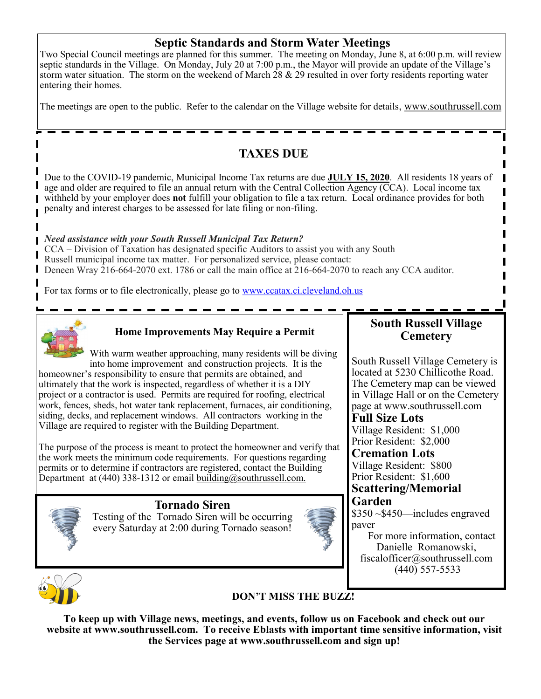## **Septic Standards and Storm Water Meetings**

Two Special Council meetings are planned for this summer. The meeting on Monday, June 8, at 6:00 p.m. will review septic standards in the Village. On Monday, July 20 at 7:00 p.m., the Mayor will provide an update of the Village's storm water situation. The storm on the weekend of March  $\overline{28} \& 29$  resulted in over forty residents reporting water entering their homes.

The meetings are open to the public. Refer to the calendar on the Village website for details, www.southrussell.com

# **TAXES DUE**

Due to the COVID-19 pandemic, Municipal Income Tax returns are due **JULY 15, 2020**. All residents 18 years of age and older are required to file an annual return with the Central Collection Agency (CCA). Local income tax withheld by your employer does **not** fulfill your obligation to file a tax return. Local ordinance provides for both penalty and interest charges to be assessed for late filing or non-filing.

#### *Need assistance with your South Russell Municipal Tax Return?*

CCA – Division of Taxation has designated specific Auditors to assist you with any South Russell municipal income tax matter. For personalized service, please contact: Deneen Wray 216-664-2070 ext. 1786 or call the main office at 216-664-2070 to reach any CCA auditor.

For tax forms or to file electronically, please go to [www.ccatax.ci.cleveland.oh.us](http://www.ccatax.ci.cleveland.oh.us)



Π

#### **Home Improvements May Require a Permit**

With warm weather approaching, many residents will be diving into home improvement and construction projects. It is the homeowner's responsibility to ensure that permits are obtained, and ultimately that the work is inspected, regardless of whether it is a DIY project or a contractor is used. Permits are required for roofing, electrical work, fences, sheds, hot water tank replacement, furnaces, air conditioning, siding, decks, and replacement windows. All contractors working in the Village are required to register with the Building Department.

The purpose of the process is meant to protect the homeowner and verify that the work meets the minimum code requirements. For questions regarding permits or to determine if contractors are registered, contact the Building Department at  $(440)$  338-1312 or email building@southrussell.com.



#### **Tornado Siren**

Testing of the Tornado Siren will be occurring every Saturday at 2:00 during Tornado season!



## **South Russell Village Cemetery**

South Russell Village Cemetery is located at 5230 Chillicothe Road. The Cemetery map can be viewed in Village Hall or on the Cemetery page at www.southrussell.com

# **Full Size Lots**

Village Resident: \$1,000 Prior Resident: \$2,000

**Cremation Lots** Village Resident: \$800 Prior Resident: \$1,600

#### **Scattering/Memorial Garden**

\$350 ~\$450—includes engraved paver

 For more information, contact Danielle Romanowski, fiscalofficer@southrussell.com  $(440)$  557-5533



## **DON'T MISS THE BUZZ!**

**To keep up with Village news, meetings, and events, follow us on Facebook and check out our website at www.southrussell.com. To receive Eblasts with important time sensitive information, visit the Services page at www.southrussell.com and sign up!**